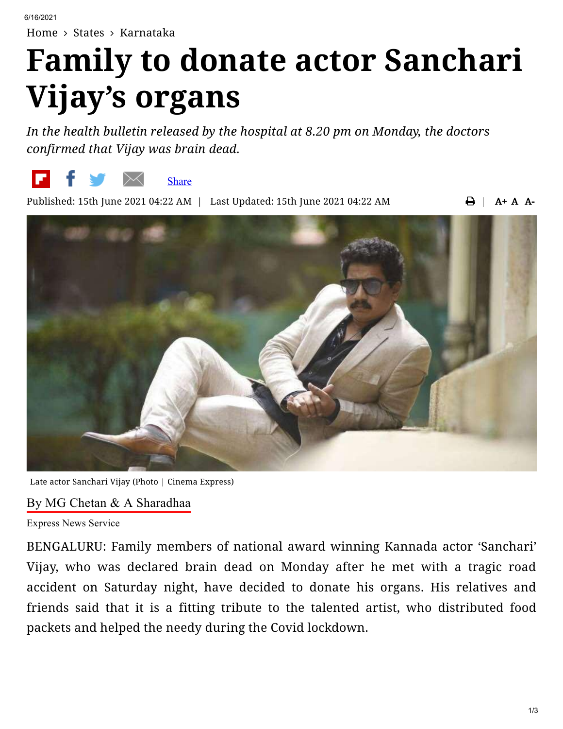[Home](https://www.newindianexpress.com/)  $\rightarrow$  [States](https://www.newindianexpress.com/states)  $\rightarrow$  [Karnataka](https://www.newindianexpress.com/states/karnataka)

# **Family to donate actor Sanchari Vijay's organs**

*In the health bulletin released by the hospital at 8.20 pm on Monday, the doctors confirmed that Vijay was brain dead.*



Published: 15th June 2021 04:22 AM | Last Updated: 15th June 2021 04:22 AM

 $\bigoplus$  | A + A A-



Late actor Sanchari Vijay (Photo | Cinema Express)

#### By MG Chetan & A [Sharadhaa](https://www.newindianexpress.com/author/MG-Chetan--A-Sharadhaa/25051)

Express News Service

BENGALURU: Family members of national award winning Kannada actor 'Sanchari' Vijay, who was declared brain dead on Monday after he met with a tragic road accident on Saturday night, have decided to donate his organs. His relatives and friends said that it is a fitting tribute to the talented artist, who distributed food packets and helped the needy during the Covid lockdown.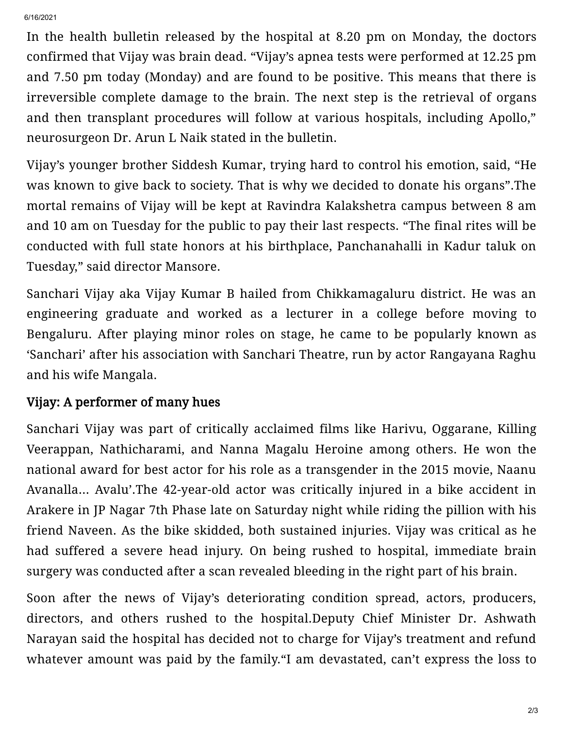In the health bulletin released by the hospital at 8.20 pm on Monday, the doctors confirmed that Vijay was brain dead. "Vijay's apnea tests were performed at 12.25 pm and 7.50 pm today (Monday) and are found to be positive. This means that there is irreversible complete damage to the brain. The next step is the retrieval of organs and then transplant procedures will follow at various hospitals, including Apollo," neurosurgeon Dr. Arun L Naik stated in the bulletin.

Vijay's younger brother Siddesh Kumar, trying hard to control his emotion, said, "He was known to give back to society. That is why we decided to donate his organs".The mortal remains of Vijay will be kept at Ravindra Kalakshetra campus between 8 am and 10 am on Tuesday for the public to pay their last respects. "The final rites will be conducted with full state honors at his birthplace, Panchanahalli in Kadur taluk on Tuesday," said director Mansore.

Sanchari Vijay aka Vijay Kumar B hailed from Chikkamagaluru district. He was an engineering graduate and worked as a lecturer in a college before moving to Bengaluru. After playing minor roles on stage, he came to be popularly known as 'Sanchari' after his association with Sanchari Theatre, run by actor Rangayana Raghu and his wife Mangala.

## Vijay: A performer of many hues

Sanchari Vijay was part of critically acclaimed films like Harivu, Oggarane, Killing Veerappan, Nathicharami, and Nanna Magalu Heroine among others. He won the national award for best actor for his role as a transgender in the 2015 movie, Naanu Avanalla... Avalu'.The 42-year-old actor was critically injured in a bike accident in Arakere in JP Nagar 7th Phase late on Saturday night while riding the pillion with his friend Naveen. As the bike skidded, both sustained injuries. Vijay was critical as he had suffered a severe head injury. On being rushed to hospital, immediate brain surgery was conducted after a scan revealed bleeding in the right part of his brain.

Soon after the news of Vijay's deteriorating condition spread, actors, producers, directors, and others rushed to the hospital.Deputy Chief Minister Dr. Ashwath Narayan said the hospital has decided not to charge for Vijay's treatment and refund whatever amount was paid by the family."I am devastated, can't express the loss to